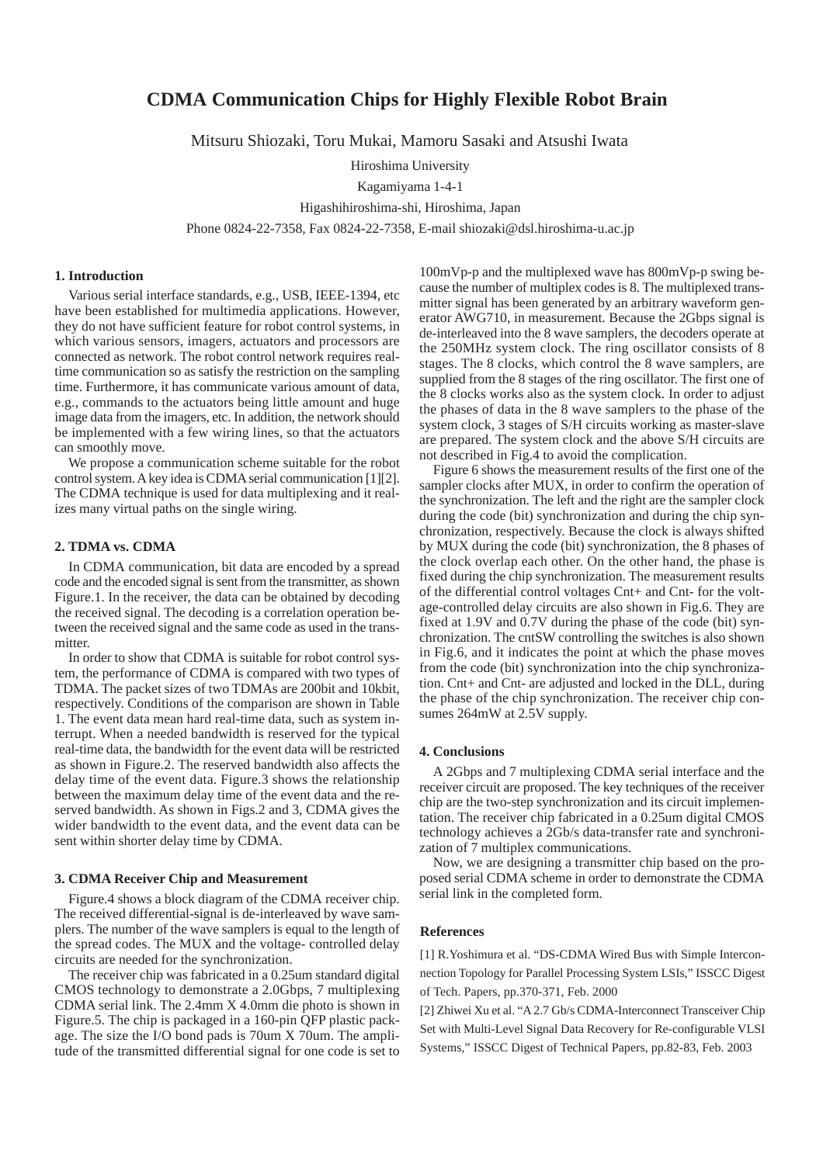# **CDMA Communication Chips for Highly Flexible Robot Brain**

Mitsuru Shiozaki, Toru Mukai, Mamoru Sasaki and Atsushi Iwata

Hiroshima University

Kagamiyama 1-4-1

Higashihiroshima-shi, Hiroshima, Japan

Phone 0824-22-7358, Fax 0824-22-7358, E-mail shiozaki@dsl.hiroshima-u.ac.jp

### **1. Introduction**

Various serial interface standards, e.g., USB, IEEE-1394, etc have been established for multimedia applications. However, they do not have sufficient feature for robot control systems, in which various sensors, imagers, actuators and processors are connected as network. The robot control network requires realtime communication so as satisfy the restriction on the sampling time. Furthermore, it has communicate various amount of data, e.g., commands to the actuators being little amount and huge image data from the imagers, etc. In addition, the network should be implemented with a few wiring lines, so that the actuators can smoothly move.

We propose a communication scheme suitable for the robot control system. A key idea is CDMA serial communication [1][2]. The CDMA technique is used for data multiplexing and it realizes many virtual paths on the single wiring.

## **2. TDMA vs. CDMA**

In CDMA communication, bit data are encoded by a spread code and the encoded signal is sent from the transmitter, as shown Figure.1. In the receiver, the data can be obtained by decoding the received signal. The decoding is a correlation operation between the received signal and the same code as used in the transmitter.

In order to show that CDMA is suitable for robot control system, the performance of CDMA is compared with two types of TDMA. The packet sizes of two TDMAs are 200bit and 10kbit, respectively. Conditions of the comparison are shown in Table 1. The event data mean hard real-time data, such as system interrupt. When a needed bandwidth is reserved for the typical real-time data, the bandwidth for the event data will be restricted as shown in Figure.2. The reserved bandwidth also affects the delay time of the event data. Figure.3 shows the relationship between the maximum delay time of the event data and the reserved bandwidth. As shown in Figs.2 and 3, CDMA gives the wider bandwidth to the event data, and the event data can be sent within shorter delay time by CDMA.

#### **3. CDMA Receiver Chip and Measurement**

Figure.4 shows a block diagram of the CDMA receiver chip. The received differential-signal is de-interleaved by wave samplers. The number of the wave samplers is equal to the length of the spread codes. The MUX and the voltage- controlled delay circuits are needed for the synchronization.

The receiver chip was fabricated in a 0.25um standard digital CMOS technology to demonstrate a 2.0Gbps, 7 multiplexing CDMA serial link. The 2.4mm X 4.0mm die photo is shown in Figure.5. The chip is packaged in a 160-pin QFP plastic package. The size the I/O bond pads is 70um X 70um. The amplitude of the transmitted differential signal for one code is set to

100mVp-p and the multiplexed wave has 800mVp-p swing because the number of multiplex codes is 8. The multiplexed transmitter signal has been generated by an arbitrary waveform generator AWG710, in measurement. Because the 2Gbps signal is de-interleaved into the 8 wave samplers, the decoders operate at the 250MHz system clock. The ring oscillator consists of 8 stages. The 8 clocks, which control the 8 wave samplers, are supplied from the 8 stages of the ring oscillator. The first one of the 8 clocks works also as the system clock. In order to adjust the phases of data in the 8 wave samplers to the phase of the system clock, 3 stages of S/H circuits working as master-slave are prepared. The system clock and the above S/H circuits are not described in Fig.4 to avoid the complication.

Figure 6 shows the measurement results of the first one of the sampler clocks after MUX, in order to confirm the operation of the synchronization. The left and the right are the sampler clock during the code (bit) synchronization and during the chip synchronization, respectively. Because the clock is always shifted by MUX during the code (bit) synchronization, the 8 phases of the clock overlap each other. On the other hand, the phase is fixed during the chip synchronization. The measurement results of the differential control voltages Cnt+ and Cnt- for the voltage-controlled delay circuits are also shown in Fig.6. They are fixed at 1.9V and 0.7V during the phase of the code (bit) synchronization. The cntSW controlling the switches is also shown in Fig.6, and it indicates the point at which the phase moves from the code (bit) synchronization into the chip synchronization. Cnt+ and Cnt- are adjusted and locked in the DLL, during the phase of the chip synchronization. The receiver chip consumes 264mW at 2.5V supply.

#### **4. Conclusions**

A 2Gbps and 7 multiplexing CDMA serial interface and the receiver circuit are proposed. The key techniques of the receiver chip are the two-step synchronization and its circuit implementation. The receiver chip fabricated in a 0.25um digital CMOS technology achieves a 2Gb/s data-transfer rate and synchronization of 7 multiplex communications.

Now, we are designing a transmitter chip based on the proposed serial CDMA scheme in order to demonstrate the CDMA serial link in the completed form.

## **References**

[1] R.Yoshimura et al. "DS-CDMA Wired Bus with Simple Interconnection Topology for Parallel Processing System LSIs," ISSCC Digest of Tech. Papers, pp.370-371, Feb. 2000

[2] Zhiwei Xu et al. "A 2.7 Gb/s CDMA-Interconnect Transceiver Chip Set with Multi-Level Signal Data Recovery for Re-configurable VLSI Systems," ISSCC Digest of Technical Papers, pp.82-83, Feb. 2003